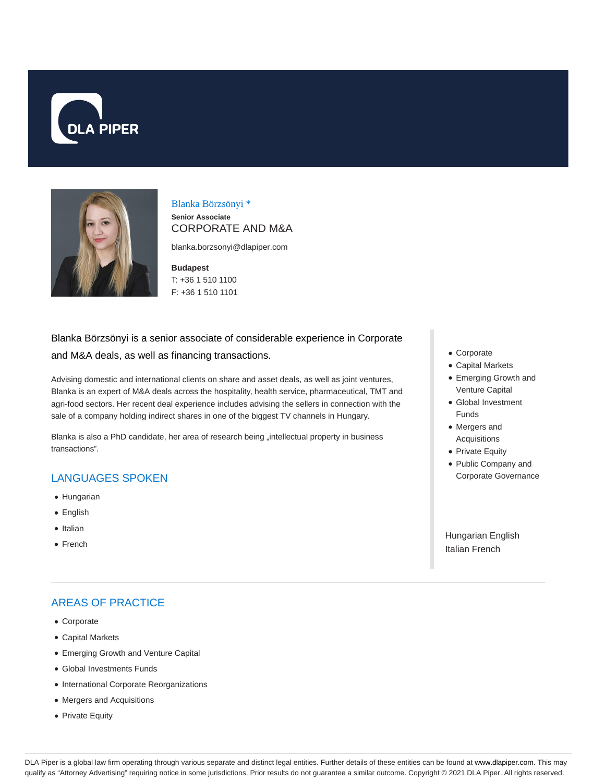



### Blanka Börzsönyi \* **Senior Associate** CORPORATE AND M&A

blanka.borzsonyi@dlapiper.com

### **Budapest** T: +36 1 510 1100 F: +36 1 510 1101

# Blanka Börzsönyi is a senior associate of considerable experience in Corporate and M&A deals, as well as financing transactions.

Advising domestic and international clients on share and asset deals, as well as joint ventures, Blanka is an expert of M&A deals across the hospitality, health service, pharmaceutical, TMT and agri-food sectors. Her recent deal experience includes advising the sellers in connection with the sale of a company holding indirect shares in one of the biggest TV channels in Hungary.

Blanka is also a PhD candidate, her area of research being "intellectual property in business transactions".

# LANGUAGES SPOKEN

- Hungarian
- English
- Italian
- French

# AREAS OF PRACTICE

- Corporate
- Capital Markets
- Emerging Growth and Venture Capital
- Global Investments Funds
- International Corporate Reorganizations
- Mergers and Acquisitions
- Private Equity
- Corporate
- Capital Markets
- Emerging Growth and Venture Capital
- Global Investment Funds
- Mergers and Acquisitions
- Private Equity
- Public Company and Corporate Governance

Hungarian English Italian French